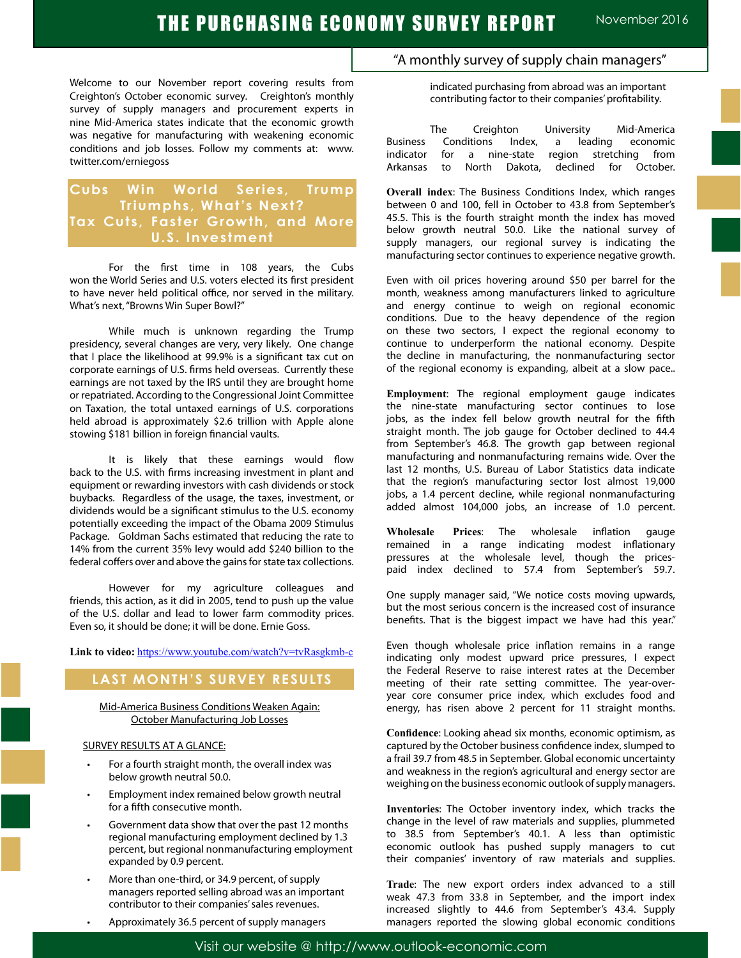Welcome to our November report covering results from Creighton's October economic survey. Creighton's monthly survey of supply managers and procurement experts in nine Mid-America states indicate that the economic growth was negative for manufacturing with weakening economic conditions and job losses. Follow my comments at: www. twitter.com/erniegoss

# **Cubs Win World Series, Trump Triumphs, What's Next? Tax Cuts, Faster Growth, and More U.S. Investment**

For the first time in 108 years, the Cubs won the World Series and U.S. voters elected its first president to have never held political office, nor served in the military. What's next, "Browns Win Super Bowl?"

While much is unknown regarding the Trump presidency, several changes are very, very likely. One change that I place the likelihood at 99.9% is a significant tax cut on corporate earnings of U.S. firms held overseas. Currently these earnings are not taxed by the IRS until they are brought home or repatriated. According to the Congressional Joint Committee on Taxation, the total untaxed earnings of U.S. corporations held abroad is approximately \$2.6 trillion with Apple alone stowing \$181 billion in foreign financial vaults.

It is likely that these earnings would flow back to the U.S. with firms increasing investment in plant and equipment or rewarding investors with cash dividends or stock buybacks. Regardless of the usage, the taxes, investment, or dividends would be a significant stimulus to the U.S. economy potentially exceeding the impact of the Obama 2009 Stimulus Package. Goldman Sachs estimated that reducing the rate to 14% from the current 35% levy would add \$240 billion to the federal coffers over and above the gains for state tax collections.

However for my agriculture colleagues and friends, this action, as it did in 2005, tend to push up the value of the U.S. dollar and lead to lower farm commodity prices. Even so, it should be done; it will be done. Ernie Goss.

Link to video: https://www.youtube.com/watch?v=tvRasgkmb-c

# **LAST MONTH'S SURVEY RESULTS**

Mid-America Business Conditions Weaken Again: October Manufacturing Job Losses

#### SURVEY RESULTS AT A GLANCE:

- For a fourth straight month, the overall index was below growth neutral 50.0.
- Employment index remained below growth neutral for a fifth consecutive month.
- Government data show that over the past 12 months regional manufacturing employment declined by 1.3 percent, but regional nonmanufacturing employment expanded by 0.9 percent.
- More than one-third, or 34.9 percent, of supply managers reported selling abroad was an important contributor to their companies' sales revenues.
- Approximately 36.5 percent of supply managers

# "A monthly survey of supply chain managers"

indicated purchasing from abroad was an important contributing factor to their companies' profitability.

The Creighton University Mid-America<br>Conditions Index, a leading economic Business Conditions Index, a leading indicator for a nine-state region stretching from Arkansas to North Dakota, declined for October.

**Overall index**: The Business Conditions Index, which ranges between 0 and 100, fell in October to 43.8 from September's 45.5. This is the fourth straight month the index has moved below growth neutral 50.0. Like the national survey of supply managers, our regional survey is indicating the manufacturing sector continues to experience negative growth.

Even with oil prices hovering around \$50 per barrel for the month, weakness among manufacturers linked to agriculture and energy continue to weigh on regional economic conditions. Due to the heavy dependence of the region on these two sectors, I expect the regional economy to continue to underperform the national economy. Despite the decline in manufacturing, the nonmanufacturing sector of the regional economy is expanding, albeit at a slow pace..

**Employment**: The regional employment gauge indicates the nine-state manufacturing sector continues to lose jobs, as the index fell below growth neutral for the fifth straight month. The job gauge for October declined to 44.4 from September's 46.8. The growth gap between regional manufacturing and nonmanufacturing remains wide. Over the last 12 months, U.S. Bureau of Labor Statistics data indicate that the region's manufacturing sector lost almost 19,000 jobs, a 1.4 percent decline, while regional nonmanufacturing added almost 104,000 jobs, an increase of 1.0 percent.

**Wholesale Prices**: The wholesale inflation gauge remained in a range indicating modest inflationary pressures at the wholesale level, though the pricespaid index declined to 57.4 from September's 59.7.

One supply manager said, "We notice costs moving upwards, but the most serious concern is the increased cost of insurance benefits. That is the biggest impact we have had this year."

Even though wholesale price inflation remains in a range indicating only modest upward price pressures, I expect the Federal Reserve to raise interest rates at the December meeting of their rate setting committee. The year-overyear core consumer price index, which excludes food and energy, has risen above 2 percent for 11 straight months.

**Confidence**: Looking ahead six months, economic optimism, as captured by the October business confidence index, slumped to a frail 39.7 from 48.5 in September. Global economic uncertainty and weakness in the region's agricultural and energy sector are weighing on the business economic outlook of supply managers.

**Inventories**: The October inventory index, which tracks the change in the level of raw materials and supplies, plummeted to 38.5 from September's 40.1. A less than optimistic economic outlook has pushed supply managers to cut their companies' inventory of raw materials and supplies.

**Trade**: The new export orders index advanced to a still weak 47.3 from 33.8 in September, and the import index increased slightly to 44.6 from September's 43.4. Supply managers reported the slowing global economic conditions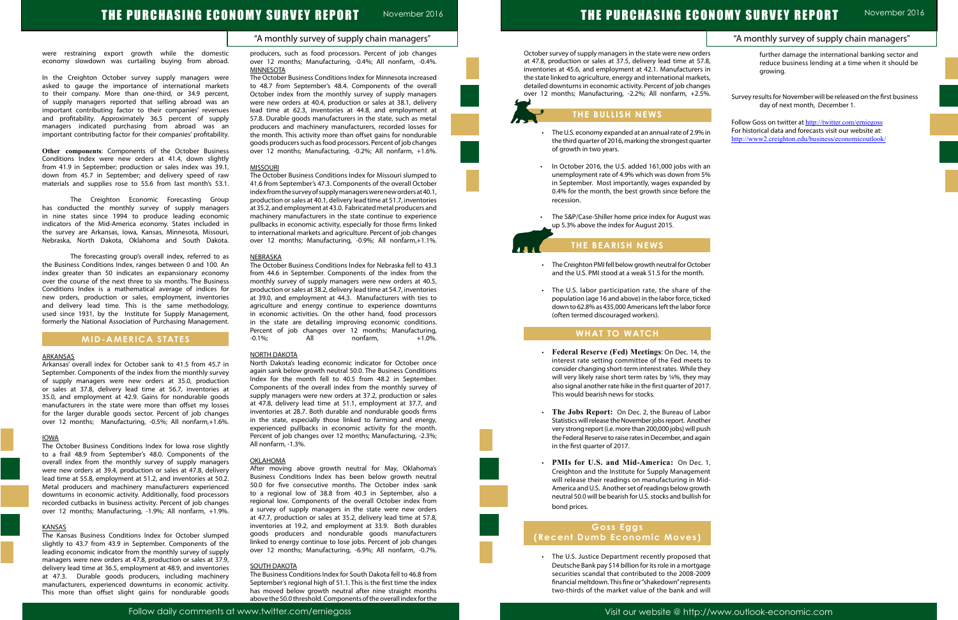| "A monthly survey of supply chain managers"                                                                                                                              |
|--------------------------------------------------------------------------------------------------------------------------------------------------------------------------|
| further damage the international banking sector and<br>reduce business lending at a time when it should be<br>growing.                                                   |
| Survey results for November will be released on the first business                                                                                                       |
| day of next month, December 1.                                                                                                                                           |
| Follow Goss on twitter at http://twitter.com/erniegoss<br>For historical data and forecasts visit our website at:<br>http://www2.creighton.edu/business/economicoutlook/ |
|                                                                                                                                                                          |
|                                                                                                                                                                          |
|                                                                                                                                                                          |
|                                                                                                                                                                          |
|                                                                                                                                                                          |
|                                                                                                                                                                          |
|                                                                                                                                                                          |
|                                                                                                                                                                          |
|                                                                                                                                                                          |
|                                                                                                                                                                          |
|                                                                                                                                                                          |
|                                                                                                                                                                          |
|                                                                                                                                                                          |
|                                                                                                                                                                          |
|                                                                                                                                                                          |
|                                                                                                                                                                          |
|                                                                                                                                                                          |
|                                                                                                                                                                          |
|                                                                                                                                                                          |
|                                                                                                                                                                          |
|                                                                                                                                                                          |
|                                                                                                                                                                          |
|                                                                                                                                                                          |
|                                                                                                                                                                          |
|                                                                                                                                                                          |
|                                                                                                                                                                          |
|                                                                                                                                                                          |
|                                                                                                                                                                          |
|                                                                                                                                                                          |
|                                                                                                                                                                          |

### "A monthly survey of supply chain managers"

# THE PURCHASING ECONOMY SURVEY REPORT November 2016

were restraining export growth while the domestic economy slowdown was curtailing buying from abroad.

In the Creighton October survey supply managers were asked to gauge the importance of international markets to their company. More than one-third, or 34.9 percent, of supply managers reported that selling abroad was an important contributing factor to their companies' revenues and profitability. Approximately 36.5 percent of supply managers indicated purchasing from abroad was an important contributing factor for their companies' profitability.

**Other components**: Components of the October Business Conditions Index were new orders at 41.4, down slightly from 41.9 in September; production or sales index was 39.1, down from 45.7 in September; and delivery speed of raw materials and supplies rose to 55.6 from last month's 53.1.

The Creighton Economic Forecasting Group has conducted the monthly survey of supply managers in nine states since 1994 to produce leading economic indicators of the Mid-America economy. States included in the survey are Arkansas, Iowa, Kansas, Minnesota, Missouri, Nebraska, North Dakota, Oklahoma and South Dakota.

The forecasting group's overall index, referred to as the Business Conditions Index, ranges between 0 and 100. An index greater than 50 indicates an expansionary economy over the course of the next three to six months. The Business Conditions Index is a mathematical average of indices for new orders, production or sales, employment, inventories and delivery lead time. This is the same methodology, used since 1931, by the Institute for Supply Management, formerly the National Association of Purchasing Management.

### **MID-AMERICA STATES**

#### **ARKANSAS**

Arkansas' overall index for October sank to 41.5 from 45.7 in September. Components of the index from the monthly survey of supply managers were new orders at 35.0, production or sales at 37.8, delivery lead time at 56.7, inventories at 35.0, and employment at 42.9. Gains for nondurable goods manufacturers in the state were more than offset my losses for the larger durable goods sector. Percent of job changes over 12 months; Manufacturing, -0.5%; All nonfarm,+1.6%.

The October Business Conditions Index for Nebraska fell to 43.3 from 44.6 in September. Components of the index from the monthly survey of supply managers were new orders at 40.5, production or sales at 38.2, delivery lead time at 54.7, inventories at 39.0, and employment at 44.3. Manufacturers with ties to agriculture and energy continue to experience downturns in economic activities. On the other hand, food processors in the state are detailing improving economic conditions. Percent of job changes over 12 months; Manufacturing,  $-0.1\%$ ; All nonfarm,  $+1.0\%$ .

#### IOWA

The October Business Conditions Index for Iowa rose slightly to a frail 48.9 from September's 48.0. Components of the overall index from the monthly survey of supply managers were new orders at 39.4, production or sales at 47.8, delivery lead time at 55.8, employment at 51.2, and inventories at 50.2. Metal producers and machinery manufacturers experienced downturns in economic activity. Additionally, food processors recorded cutbacks in business activity. Percent of job changes over 12 months; Manufacturing, -1.9%; All nonfarm, +1.9%.

#### **KANSAS**

The Kansas Business Conditions Index for October slumped slightly to 43.7 from 43.9 in September. Components of the leading economic indicator from the monthly survey of supply managers were new orders at 47.8, production or sales at 37.9, delivery lead time at 36.5, employment at 48.9, and inventories at 47.3. Durable goods producers, including machinery manufacturers, experienced downturns in economic activity. This more than offset slight gains for nondurable goods producers, such as food processors. Percent of job changes over 12 months; Manufacturing, -0.4%; All nonfarm, -0.4%. MINNESOTA

- The U.S. economy expanded at an annual rate of 2.9% the third quarter of 2016, marking the strongest quart of growth in two years.
- In October 2016, the U.S. added 161,000 jobs with unemployment rate of 4.9% which was down from 5 in September. Most importantly, wages expanded 0.4% for the month, the best growth since before the recession.
- The S&P/Case-Shiller home price index for August w up 5.3% above the index for August 2015.

The October Business Conditions Index for Minnesota increased to 48.7 from September's 48.4. Components of the overall October index from the monthly survey of supply managers were new orders at 40.4, production or sales at 38.1, delivery lead time at 62.3, inventories at 44.8, and employment at 57.8. Durable goods manufacturers in the state, such as metal producers and machinery manufacturers, recorded losses for the month. This activity more than offset gains for nondurable goods producers such as food processors. Percent of job changes over 12 months; Manufacturing, -0.2%; All nonfarm, +1.6%.

- The Creighton PMI fell below growth neutral for Octob and the U.S. PMI stood at a weak 51.5 for the month.
- The U.S. labor participation rate, the share of the population (age 16 and above) in the labor force, ticke down to 62.8% as 435,000 Americans left the labor for (often termed discouraged workers).

#### MISSOURI

The October Business Conditions Index for Missouri slumped to 41.6 from September's 47.3. Components of the overall October index from the survey of supply managers were new orders at 40.1, production or sales at 40.1, delivery lead time at 51.7, inventories at 35.2, and employment at 43.0. Fabricated metal producers and machinery manufacturers in the state continue to experience pullbacks in economic activity, especially for those firms linked to international markets and agriculture. Percent of job changes over 12 months; Manufacturing, -0.9%; All nonfarm,+1.1%.

#### NEBRASKA

#### NORTH DAKOTA

North Dakota's leading economic indicator for October once again sank below growth neutral 50.0. The Business Conditions Index for the month fell to 40.5 from 48.2 in September. Components of the overall index from the monthly survey of supply managers were new orders at 37.2, production or sales at 47.8, delivery lead time at 51.1, employment at 37.7, and inventories at 28.7. Both durable and nondurable goods firms in the state, especially those linked to farming and energy, experienced pullbacks in economic activity for the month. Percent of job changes over 12 months; Manufacturing, -2.3%; All nonfarm, -1.3%.

#### OKLAHOMA

After moving above growth neutral for May, Oklahoma's Business Conditions Index has been below growth neutral 50.0 for five consecutive months. The October index sank to a regional low of 38.8 from 40.3 in September, also a regional low. Components of the overall October index from a survey of supply managers in the state were new orders at 47.7, production or sales at 35.2, delivery lead time at 57.8, inventories at 19.2, and employment at 33.9. Both durables goods producers and nondurable goods manufacturers linked to energy continue to lose jobs. Percent of job changes over 12 months; Manufacturing, -6.9%; All nonfarm, -0.7%.

#### SOUTH DAKOTA

The Business Conditions Index for South Dakota fell to 46.8 from September's regional high of 51.1. This is the first time the index has moved below growth neutral after nine straight months above the 50.0 threshold. Components of the overall index for the October survey of supply managers in the state were new order at 47.8, production or sales at 37.5, delivery lead time at 57 inventories at 45.6, and employment at 42.1. Manufacturers the state linked to agriculture, energy and international marke detailed downturns in economic activity. Percent of job chang over 12 months; Manufacturing, -2.2%; All nonfarm, +2.5

## **THE BULLISH NEWS**

# **THE BEARISH NEWS**

# **WHAT TO WATCH**

L

Ĩ

- • **Federal Reserve (Fed) Meetings**: On Dec. 14, the interest rate setting committee of the Fed meets consider changing short-term interest rates. While th will very likely raise short term rates by  $\frac{1}{4}\%$ , they m also signal another rate hike in the first quarter of 2017 This would bearish news for stocks.
- **The Jobs Report:** On Dec. 2, the Bureau of Lab Statistics will release the November jobs report. Anoth very strong report (i.e. more than 200,000 jobs) will pu the Federal Reserve to raise rates in December, and again in the first quarter of 2017.
- $\cdot$  **PMIs for U.S. and Mid-America:** On Dec. Creighton and the Institute for Supply Management will release their readings on manufacturing in Mi America and U.S. Another set of readings below grow neutral 50.0 will be bearish for U.S. stocks and bullish bond prices.

# **Goss Eggs (Recent Dumb Economic Moves)**

• The U.S. Justice Department recently proposed that Deutsche Bank pay \$14 billion for its role in a mortga securities scandal that contributed to the 2008-20 financial meltdown. This fine or "shakedown" represent two-thirds of the market value of the bank and w